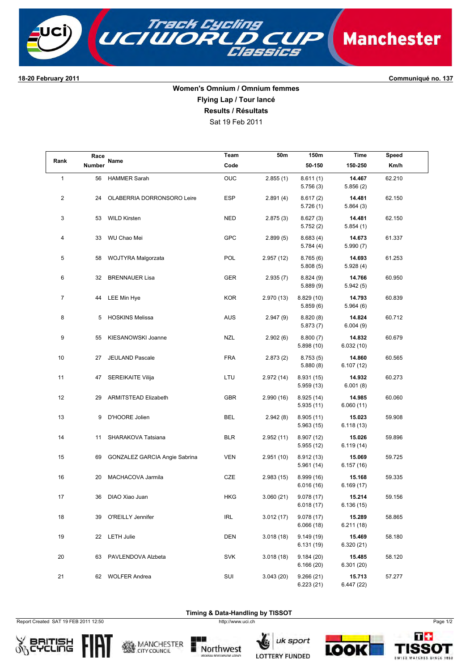

**1820 February 2011 Communiqué no. 137**

## **Women's Omnium / Omnium femmes Flying Lap / Tour lancé**

**Results / Résultats**

Sat 19 Feb 2011

| Rank           | Race<br>Number | Name                          | Team       | 50m       | 150m                    | Time                 | Speed  |  |
|----------------|----------------|-------------------------------|------------|-----------|-------------------------|----------------------|--------|--|
|                |                |                               | Code       |           | 50-150                  | 150-250              | Km/h   |  |
| $\mathbf{1}$   | 56             | <b>HAMMER Sarah</b>           | OUC        | 2.855(1)  | 8.611(1)<br>5.756(3)    | 14.467<br>5.856(2)   | 62.210 |  |
| $\overline{c}$ | 24             | OLABERRIA DORRONSORO Leire    | <b>ESP</b> | 2.891(4)  | 8.617(2)<br>5.726(1)    | 14.481<br>5.864(3)   | 62.150 |  |
| 3              | 53             | <b>WILD Kirsten</b>           | NED        | 2.875(3)  | 8.627(3)<br>5.752(2)    | 14.481<br>5.854(1)   | 62.150 |  |
| 4              | 33             | WU Chao Mei                   | <b>GPC</b> | 2.899(5)  | 8.683(4)<br>5.784(4)    | 14.673<br>5.990 (7)  | 61.337 |  |
| 5              | 58             | WOJTYRA Malgorzata            | POL        | 2.957(12) | 8.765(6)<br>5.808(5)    | 14.693<br>5.928(4)   | 61.253 |  |
| 6              | 32             | <b>BRENNAUER Lisa</b>         | GER        | 2.935(7)  | 8.824(9)<br>5.889(9)    | 14.766<br>5.942(5)   | 60.950 |  |
| $\overline{7}$ | 44             | LEE Min Hye                   | <b>KOR</b> | 2.970(13) | 8.829(10)<br>5.859(6)   | 14.793<br>5.964(6)   | 60.839 |  |
| 8              | 5              | <b>HOSKINS Melissa</b>        | <b>AUS</b> | 2.947(9)  | 8.820(8)<br>5.873(7)    | 14.824<br>6.004(9)   | 60.712 |  |
| 9              | 55             | KIESANOWSKI Joanne            | NZL        | 2.902(6)  | 8.800(7)<br>5.898(10)   | 14.832<br>6.032(10)  | 60.679 |  |
| 10             | 27             | JEULAND Pascale               | <b>FRA</b> | 2.873(2)  | 8.753(5)<br>5.880(8)    | 14.860<br>6.107(12)  | 60.565 |  |
| 11             | 47             | SEREIKAITE Vilija             | LTU        | 2.972(14) | 8.931 (15)<br>5.959(13) | 14.932<br>6.001(8)   | 60.273 |  |
| 12             | 29             | <b>ARMITSTEAD Elizabeth</b>   | <b>GBR</b> | 2.990(16) | 8.925(14)<br>5.935(11)  | 14.985<br>6.060(11)  | 60.060 |  |
| 13             | 9              | D'HOORE Jolien                | <b>BEL</b> | 2.942(8)  | 8.905(11)<br>5.963(15)  | 15.023<br>6.118 (13) | 59.908 |  |
| 14             | 11             | SHARAKOVA Tatsiana            | <b>BLR</b> | 2.952(11) | 8.907 (12)<br>5.955(12) | 15.026<br>6.119 (14) | 59.896 |  |
| 15             | 69             | GONZALEZ GARCIA Angie Sabrina | <b>VEN</b> | 2.951(10) | 8.912(13)<br>5.961 (14) | 15.069<br>6.157(16)  | 59.725 |  |
| 16             | 20             | MACHACOVA Jarmila             | CZE        | 2.983(15) | 8.999(16)<br>6.016(16)  | 15.168<br>6.169 (17) | 59.335 |  |
| 17             | 36             | DIAO Xiao Juan                | <b>HKG</b> | 3.060(21) | 9.078(17)<br>6.018(17)  | 15.214<br>6.136(15)  | 59.156 |  |
| 18             |                | 39 O'REILLY Jennifer          | IRL        | 3.012(17) | 9.078(17)<br>6.066(18)  | 15.289<br>6.211(18)  | 58.865 |  |
| 19             |                | 22 LETH Julie                 | DEN        | 3.018(18) | 9.149(19)<br>6.131(19)  | 15.469<br>6.320(21)  | 58.180 |  |
| 20             |                | 63 PAVLENDOVA Alzbeta         | <b>SVK</b> | 3.018(18) | 9.184(20)<br>6.166(20)  | 15.485<br>6.301(20)  | 58.120 |  |
| 21             |                | 62 WOLFER Andrea              | SUI        | 3.043(20) | 9.266(21)<br>6.223(21)  | 15.713<br>6.447(22)  | 57.277 |  |

Report Created SAT 19 FEB 2011 12:50 http://www.uci.ch Page 1/2





**Timing & Data-Handling by TISSOT**